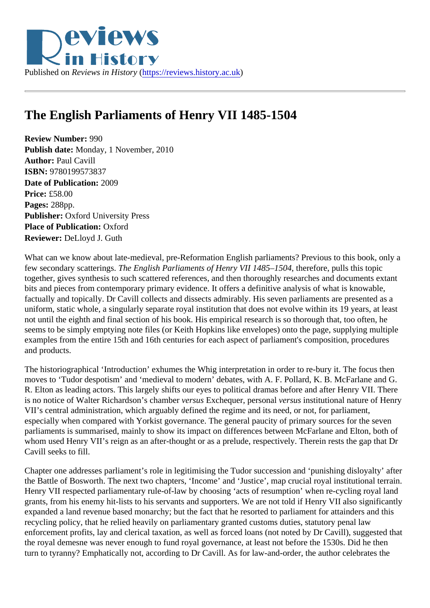## The English Parliaments of Henry VII 1485-1504

Review Number: 990 Publish date: Monday, 1 November, 2010 Author: Paul Cavill ISBN: 9780199573837 Date of Publication: 2009 Price: £58.00 Pages: 288pp. Publisher: Oxford University Press Place of Publication: Oxford Reviewer: DeLloyd J. Guth

What can we know about late-medieval, pre-Reformation English parliaments? Previous to this book, only few secondary scattering the English Parliaments of Henry VII 1485–150 ferefore, pulls this topic together, gives synthesis to such scattered references, and then thoroughly researches and documents extants bits and pieces from contemporary primary evidence. It offers a definitive analysis of what is knowable, factually and topically. Dr Cavill collects and dissects admirably. His seven parliaments are presented as a uniform, static whole, a singularly separate royal institution that does not evolve within its 19 years, at leas not until the eighth and final section of his book. His empirical research is so thorough that, too often, he seems to be simply emptying note files (or Keith Hopkins like envelopes) onto the page, supplying multiple examples from the entire 15th and 16th centuries for each aspect of parliament's composition, procedures and products.

The historiographical 'Introduction' exhumes the Whig interpretation in order to re-bury it. The focus then moves to 'Tudor despotism' and 'medieval to modern' debates, with A. F. Pollard, K. B. McFarlane and G. R. Elton as leading actors. This largely shifts our eyes to political dramas before and after Henry VII. There is no notice of Walter Richardson's chamber sus Exchequer, personal restitutional nature of Henry VII's central administration, which arguably defined the regime and its need, or not, for parliament, especially when compared with Yorkist governance. The general paucity of primary sources for the seven parliaments is summarised, mainly to show its impact on differences between McFarlane and Elton, both of whom used Henry VII's reign as an after-thought or as a prelude, respectively. Therein rests the gap that I Cavill seeks to fill.

Chapter one addresses parliament's role in legitimising the Tudor succession and 'punishing disloyalty' after the Battle of Bosworth. The next two chapters, 'Income' and 'Justice', map crucial royal institutional terrain. Henry VII respected parliamentary rule-of-law by choosing 'acts of resumption' when re-cycling royal land grants, from his enemy hit-lists to his servants and supporters. We are not told if Henry VII also significant expanded a land revenue based monarchy; but the fact that he resorted to parliament for attainders and th recycling policy, that he relied heavily on parliamentary granted customs duties, statutory penal law enforcement profits, lay and clerical taxation, as well as forced loans (not noted by Dr Cavill), suggested th the royal demesne was never enough to fund royal governance, at least not before the 1530s. Did he then turn to tyranny? Emphatically not, according to Dr Cavill. As for law-and-order, the author celebrates the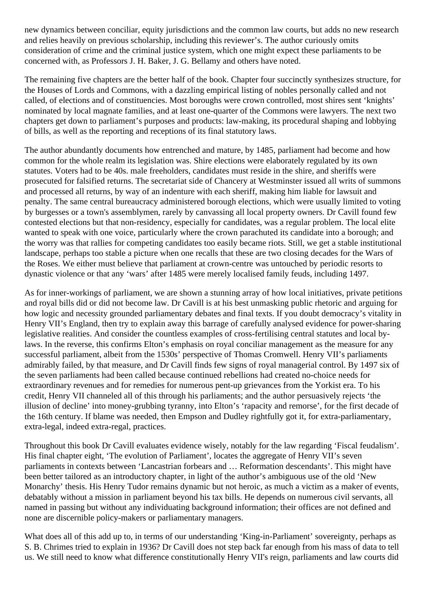new dynamics between conciliar, equity jurisdictions and the common law courts, but adds no new research and relies heavily on previous scholarship, including this reviewer's. The author curiously omits consideration of crime and the criminal justice system, which one might expect these parliaments to be concerned with, as Professors J. H. Baker, J. G. Bellamy and others have noted.

The remaining five chapters are the better half of the book. Chapter four succinctly synthesizes structure, for the Houses of Lords and Commons, with a dazzling empirical listing of nobles personally called and not called, of elections and of constituencies. Most boroughs were crown controlled, most shires sent 'knights' nominated by local magnate families, and at least one-quarter of the Commons were lawyers. The next two chapters get down to parliament's purposes and products: law-making, its procedural shaping and lobbying of bills, as well as the reporting and receptions of its final statutory laws.

The author abundantly documents how entrenched and mature, by 1485, parliament had become and how common for the whole realm its legislation was. Shire elections were elaborately regulated by its own statutes. Voters had to be 40s. male freeholders, candidates must reside in the shire, and sheriffs were prosecuted for falsified returns. The secretariat side of Chancery at Westminster issued all writs of summons and processed all returns, by way of an indenture with each sheriff, making him liable for lawsuit and penalty. The same central bureaucracy administered borough elections, which were usually limited to voting by burgesses or a town's assemblymen, rarely by canvassing all local property owners. Dr Cavill found few contested elections but that non-residency, especially for candidates, was a regular problem. The local elite wanted to speak with one voice, particularly where the crown parachuted its candidate into a borough; and the worry was that rallies for competing candidates too easily became riots. Still, we get a stable institutional landscape, perhaps too stable a picture when one recalls that these are two closing decades for the Wars of the Roses. We either must believe that parliament at crown-centre was untouched by periodic resorts to dynastic violence or that any 'wars' after 1485 were merely localised family feuds, including 1497.

As for inner-workings of parliament, we are shown a stunning array of how local initiatives, private petitions and royal bills did or did not become law. Dr Cavill is at his best unmasking public rhetoric and arguing for how logic and necessity grounded parliamentary debates and final texts. If you doubt democracy's vitality in Henry VII's England, then try to explain away this barrage of carefully analysed evidence for power-sharing legislative realities. And consider the countless examples of cross-fertilising central statutes and local bylaws. In the reverse, this confirms Elton's emphasis on royal conciliar management as the measure for any successful parliament, albeit from the 1530s' perspective of Thomas Cromwell. Henry VII's parliaments admirably failed, by that measure, and Dr Cavill finds few signs of royal managerial control. By 1497 six of the seven parliaments had been called because continued rebellions had created no-choice needs for extraordinary revenues and for remedies for numerous pent-up grievances from the Yorkist era. To his credit, Henry VII channeled all of this through his parliaments; and the author persuasively rejects 'the illusion of decline' into money-grubbing tyranny, into Elton's 'rapacity and remorse', for the first decade of the 16th century. If blame was needed, then Empson and Dudley rightfully got it, for extra-parliamentary, extra-legal, indeed extra-regal, practices.

Throughout this book Dr Cavill evaluates evidence wisely, notably for the law regarding 'Fiscal feudalism'. His final chapter eight, 'The evolution of Parliament', locates the aggregate of Henry VII's seven parliaments in contexts between 'Lancastrian forbears and … Reformation descendants'. This might have been better tailored as an introductory chapter, in light of the author's ambiguous use of the old 'New Monarchy' thesis. His Henry Tudor remains dynamic but not heroic, as much a victim as a maker of events, debatably without a mission in parliament beyond his tax bills. He depends on numerous civil servants, all named in passing but without any individuating background information; their offices are not defined and none are discernible policy-makers or parliamentary managers.

What does all of this add up to, in terms of our understanding 'King-in-Parliament' sovereignty, perhaps as S. B. Chrimes tried to explain in 1936? Dr Cavill does not step back far enough from his mass of data to tell us. We still need to know what difference constitutionally Henry VII's reign, parliaments and law courts did